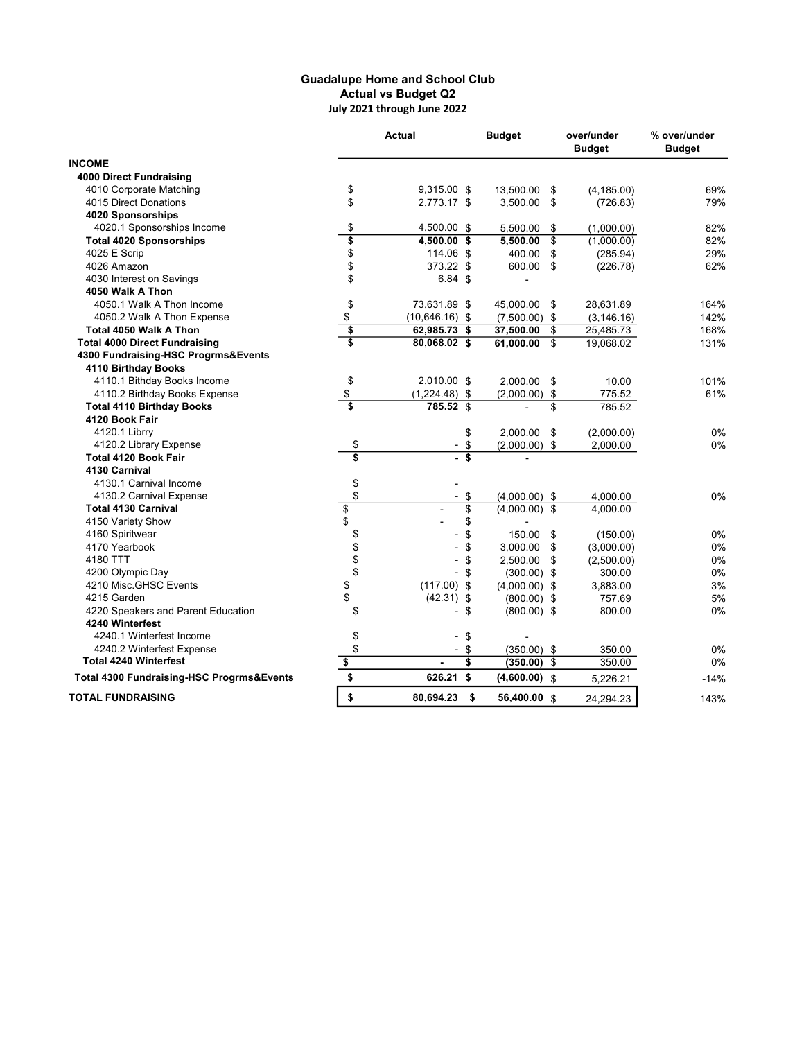## Guadalupe Home and School Club Actual vs Budget Q2 July 2021 through June 2022

|                                                      | <b>Actual</b>                          |                      | <b>Budget</b>   | over/under<br><b>Budget</b> |             | % over/under<br><b>Budget</b> |
|------------------------------------------------------|----------------------------------------|----------------------|-----------------|-----------------------------|-------------|-------------------------------|
| <b>INCOME</b>                                        |                                        |                      |                 |                             |             |                               |
| <b>4000 Direct Fundraising</b>                       |                                        |                      |                 |                             |             |                               |
| 4010 Corporate Matching                              | \$                                     | 9,315.00 \$          | 13,500.00       | \$                          | (4, 185.00) | 69%                           |
| 4015 Direct Donations                                | \$                                     | 2,773.17 \$          | 3,500.00        | \$                          | (726.83)    | 79%                           |
| 4020 Sponsorships                                    |                                        |                      |                 |                             |             |                               |
| 4020.1 Sponsorships Income                           | \$                                     | 4,500.00 \$          | 5,500.00        | \$                          | (1,000.00)  | 82%                           |
| <b>Total 4020 Sponsorships</b>                       | \$                                     | 4,500.00 \$          | 5,500.00        | \$                          | (1,000.00)  | 82%                           |
| 4025 E Scrip                                         | \$                                     | 114.06 \$            | 400.00          | \$                          | (285.94)    | 29%                           |
| 4026 Amazon                                          | \$                                     | 373.22 \$            | 600.00          | \$                          | (226.78)    | 62%                           |
| 4030 Interest on Savings                             | \$                                     | $6.84$ \$            |                 |                             |             |                               |
| 4050 Walk A Thon                                     |                                        |                      |                 |                             |             |                               |
| 4050.1 Walk A Thon Income                            | \$                                     | 73,631.89 \$         | 45,000.00       | \$                          | 28,631.89   | 164%                          |
| 4050.2 Walk A Thon Expense                           | \$                                     | $(10,646.16)$ \$     | $(7,500.00)$ \$ |                             | (3, 146.16) | 142%                          |
| Total 4050 Walk A Thon                               | \$                                     | 62,985.73 \$         | 37,500.00       | \$                          | 25,485.73   | 168%                          |
| <b>Total 4000 Direct Fundraising</b>                 | Ŝ                                      | 80,068.02 \$         | 61,000.00       | \$                          | 19,068.02   | 131%                          |
| 4300 Fundraising-HSC Progrms&Events                  |                                        |                      |                 |                             |             |                               |
| 4110 Birthday Books                                  |                                        |                      |                 |                             |             |                               |
| 4110.1 Bithday Books Income                          | \$                                     | 2,010.00 \$          | 2,000.00        | \$                          | 10.00       | 101%                          |
| 4110.2 Birthday Books Expense                        | \$                                     | $(1,224.48)$ \$      | $(2,000.00)$ \$ |                             | 775.52      | 61%                           |
| <b>Total 4110 Birthday Books</b>                     | $\overline{\mathbf{s}}$                | 785.52 \$            |                 | \$                          | 785.52      |                               |
| 4120 Book Fair                                       |                                        |                      |                 |                             |             |                               |
| 4120.1 Librry                                        |                                        | \$                   | 2,000.00        | \$                          | (2,000.00)  | 0%                            |
| 4120.2 Library Expense                               | \$                                     | \$                   | $(2,000.00)$ \$ |                             | 2,000.00    | 0%                            |
| <b>Total 4120 Book Fair</b>                          | $\overline{\boldsymbol{\mathfrak{s}}}$ | \$                   |                 |                             |             |                               |
| 4130 Carnival                                        |                                        |                      |                 |                             |             |                               |
| 4130.1 Carnival Income                               | \$                                     |                      |                 |                             |             |                               |
| 4130.2 Carnival Expense                              | \$                                     | \$                   | $(4,000.00)$ \$ |                             | 4,000.00    | 0%                            |
| <b>Total 4130 Carnival</b>                           |                                        | \$                   | $(4,000.00)$ \$ |                             | 4,000.00    |                               |
| 4150 Variety Show                                    | \$<br>\$                               | \$                   |                 |                             |             |                               |
| 4160 Spiritwear                                      | \$                                     | \$                   | 150.00          | \$                          | (150.00)    | 0%                            |
| 4170 Yearbook                                        |                                        | \$                   | 3,000.00        | \$                          | (3,000.00)  | 0%                            |
| 4180 TTT                                             | \$\$                                   | \$                   | 2,500.00        | \$                          | (2,500.00)  | 0%                            |
| 4200 Olympic Day                                     |                                        | \$                   | $(300.00)$ \$   |                             | 300.00      | 0%                            |
| 4210 Misc.GHSC Events                                | \$                                     | $(117.00)$ \$        | $(4,000.00)$ \$ |                             | 3,883.00    | 3%                            |
| 4215 Garden                                          | \$                                     | $(42.31)$ \$         | $(800.00)$ \$   |                             | 757.69      | 5%                            |
| 4220 Speakers and Parent Education                   | \$                                     | \$                   | $(800.00)$ \$   |                             | 800.00      | 0%                            |
| 4240 Winterfest                                      |                                        |                      |                 |                             |             |                               |
| 4240.1 Winterfest Income                             | \$                                     | \$                   |                 |                             |             |                               |
| 4240.2 Winterfest Expense                            | \$                                     | \$<br>$\blacksquare$ | $(350.00)$ \$   |                             | 350.00      | 0%                            |
| <b>Total 4240 Winterfest</b>                         | \$                                     | \$                   | (350.00)        | \$                          | 350.00      | 0%                            |
| <b>Total 4300 Fundraising-HSC Progrms&amp;Events</b> | \$                                     | \$<br>626.21         | $(4,600.00)$ \$ |                             | 5,226.21    | $-14%$                        |
| <b>TOTAL FUNDRAISING</b>                             | \$                                     | 80,694.23<br>\$      | 56,400.00 \$    |                             | 24,294.23   | 143%                          |
|                                                      |                                        |                      |                 |                             |             |                               |